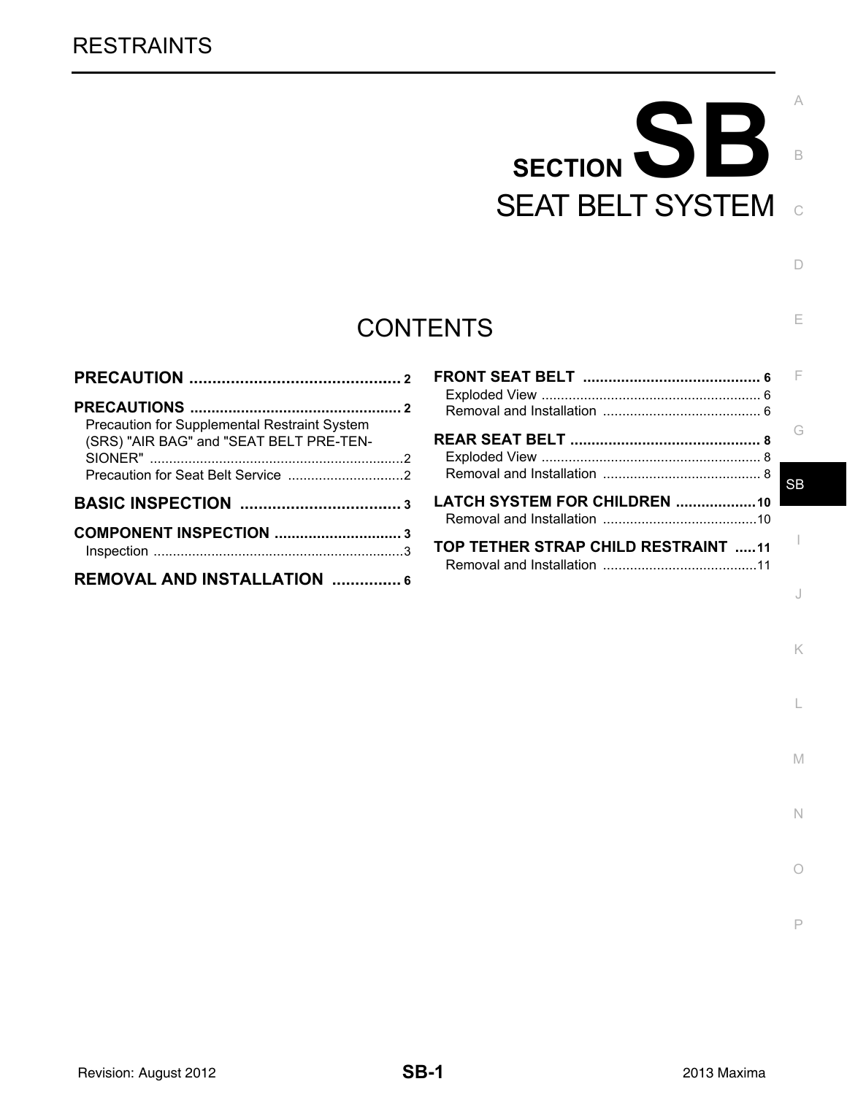# SECTION SB SEAT BELT SYSTEM

C

B

 $\Box$ 

E

K

L

M

N

O

P

# **CONTENTS**

| <b>Precaution for Supplemental Restraint System</b> |
|-----------------------------------------------------|
| (SRS) "AIR BAG" and "SEAT BELT PRE-TEN-             |
|                                                     |
|                                                     |
|                                                     |
| <b>REMOVAL AND INSTALLATION  6</b>                  |

|                                     | ( – )<br>SB |
|-------------------------------------|-------------|
| LATCH SYSTEM FOR CHILDREN 10        |             |
| TOP TETHER STRAP CHILD RESTRAINT 11 |             |
|                                     |             |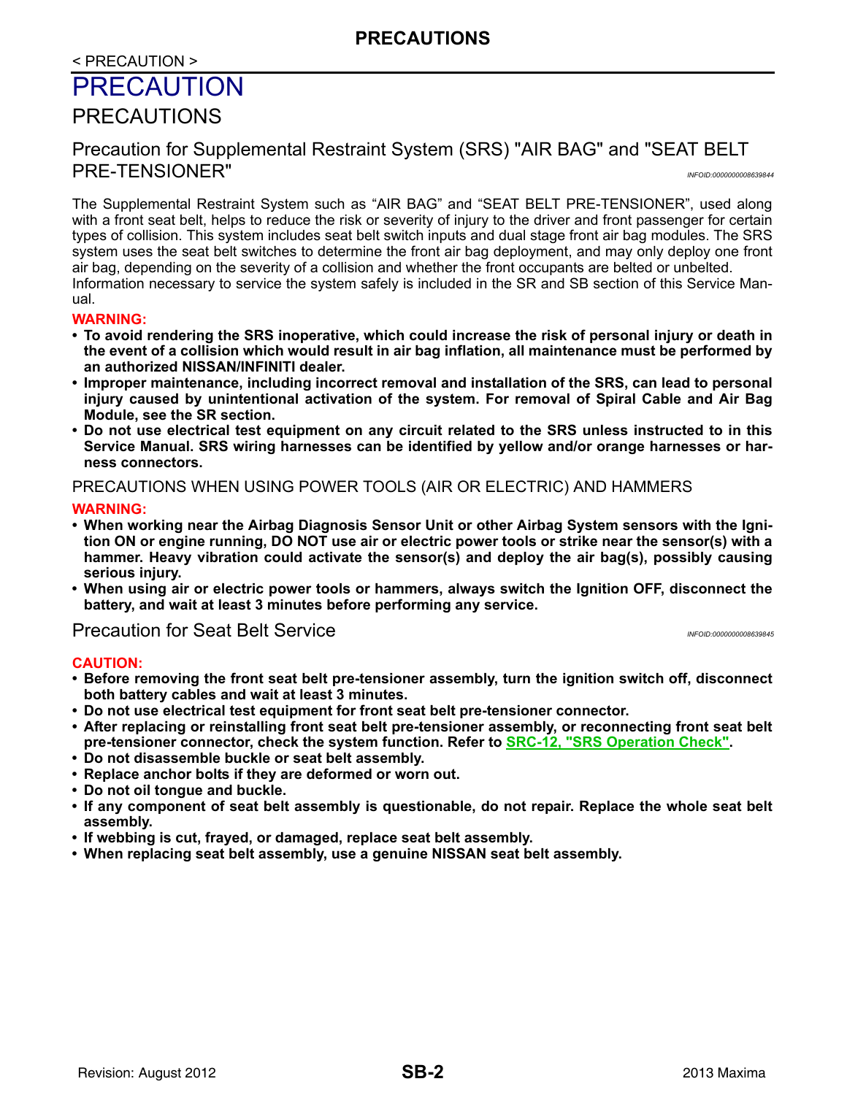## < PRECAUTION >

# <span id="page-1-0"></span>**PRECAUTION**

## <span id="page-1-1"></span>PRECAUTIONS

## <span id="page-1-2"></span>Precaution for Supplemental Restraint System (SRS) "AIR BAG" and "SEAT BELT PRE-TENSIONER" *INFOID:0000000008639844*

The Supplemental Restraint System such as "AIR BAG" and "SEAT BELT PRE-TENSIONER", used along with a front seat belt, helps to reduce the risk or severity of injury to the driver and front passenger for certain types of collision. This system includes seat belt switch inputs and dual stage front air bag modules. The SRS system uses the seat belt switches to determine the front air bag deployment, and may only deploy one front air bag, depending on the severity of a collision and whether the front occupants are belted or unbelted. Information necessary to service the system safely is included in the SR and SB section of this Service Man-

#### ual. **WARNING:**

- **To avoid rendering the SRS inoperative, which could increase the risk of personal injury or death in the event of a collision which would result in air bag inflation, all maintenance must be performed by an authorized NISSAN/INFINITI dealer.**
- **Improper maintenance, including incorrect removal and installation of the SRS, can lead to personal injury caused by unintentional activation of the system. For removal of Spiral Cable and Air Bag Module, see the SR section.**
- **Do not use electrical test equipment on any circuit related to the SRS unless instructed to in this Service Manual. SRS wiring harnesses can be identified by yellow and/or orange harnesses or harness connectors.**

## PRECAUTIONS WHEN USING POWER TOOLS (AIR OR ELECTRIC) AND HAMMERS

#### **WARNING:**

- **When working near the Airbag Diagnosis Sensor Unit or other Airbag System sensors with the Ignition ON or engine running, DO NOT use air or electric power tools or strike near the sensor(s) with a hammer. Heavy vibration could activate the sensor(s) and deploy the air bag(s), possibly causing serious injury.**
- **When using air or electric power tools or hammers, always switch the Ignition OFF, disconnect the battery, and wait at least 3 minutes before performing any service.**

## <span id="page-1-3"></span>Precaution for Seat Belt Service *INFOID:0000000008639845*

#### **CAUTION:**

- **Before removing the front seat belt pre-tensioner assembly, turn the ignition switch off, disconnect both battery cables and wait at least 3 minutes.**
- **Do not use electrical test equipment for front seat belt pre-tensioner connector.**
- **After replacing or reinstalling front seat belt pre-tensioner assembly, or reconnecting front seat belt pre-tensioner connector, check the system function. Refer to SRC-12, "SRS Operation Check".**
- **Do not disassemble buckle or seat belt assembly.**
- **Replace anchor bolts if they are deformed or worn out.**
- **Do not oil tongue and buckle.**
- **If any component of seat belt assembly is questionable, do not repair. Replace the whole seat belt assembly.**
- **If webbing is cut, frayed, or damaged, replace seat belt assembly.**
- **When replacing seat belt assembly, use a genuine NISSAN seat belt assembly.**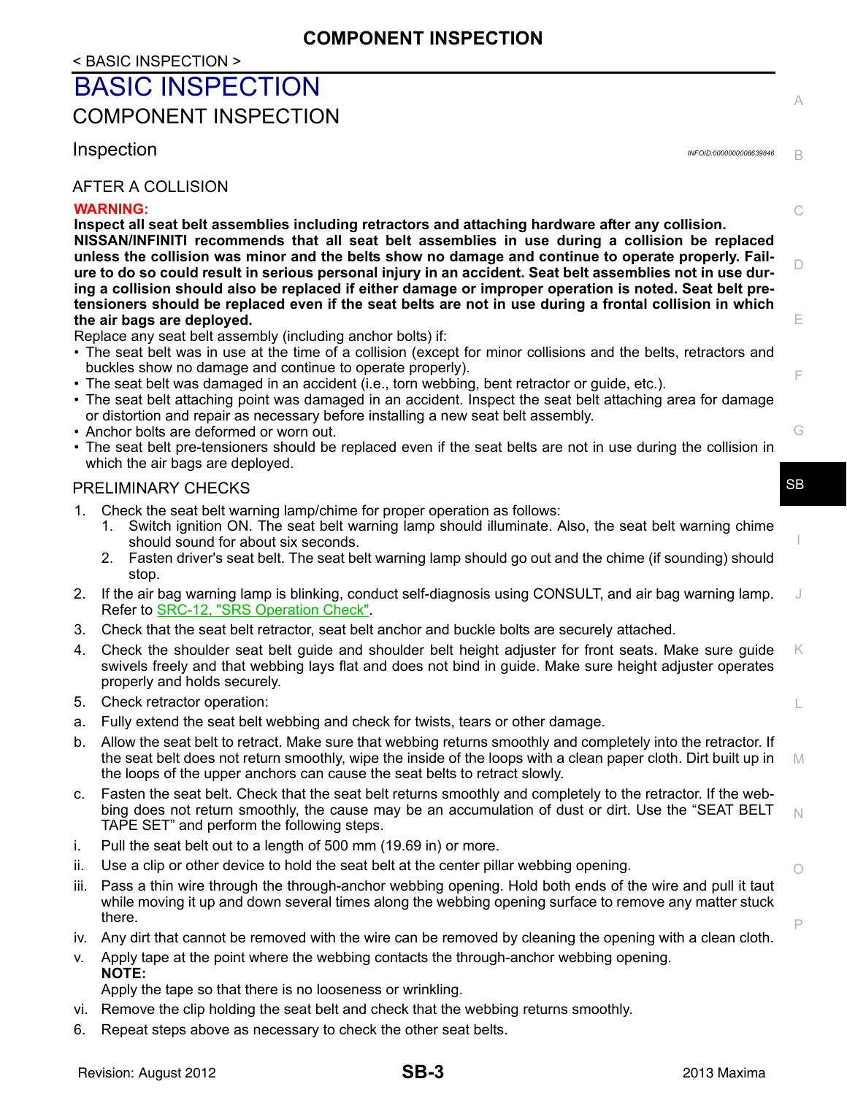## <span id="page-2-1"></span><span id="page-2-0"></span>BASIC INSPECTION COMPONENT INSPECTION

<span id="page-2-2"></span>Inspection *INFOID:0000000008639846*

AFTER A COLLISION

## **WARNING:**

**Inspect all seat belt assemblies including retractors and attaching hardware after any collision. NISSAN/INFINITI recommends that all seat belt assemblies in use during a collision be replaced unless the collision was minor and the belts show no damage and continue to operate properly. Failure to do so could result in serious personal injury in an accident. Seat belt assemblies not in use during a collision should also be replaced if either damage or improper operation is noted. Seat belt pretensioners should be replaced even if the seat belts are not in use during a frontal collision in which the air bags are deployed.**

Replace any seat belt assembly (including anchor bolts) if:

- The seat belt was in use at the time of a collision (except for minor collisions and the belts, retractors and buckles show no damage and continue to operate properly).
- The seat belt was damaged in an accident (i.e., torn webbing, bent retractor or guide, etc.).
- The seat belt attaching point was damaged in an accident. Inspect the seat belt attaching area for damage or distortion and repair as necessary before installing a new seat belt assembly.
- Anchor bolts are deformed or worn out.
- The seat belt pre-tensioners should be replaced even if the seat belts are not in use during the collision in which the air bags are deployed.

## PRELIMINARY CHECKS

- 1. Check the seat belt warning lamp/chime for proper operation as follows:
	- 1. Switch ignition ON. The seat belt warning lamp should illuminate. Also, the seat belt warning chime should sound for about six seconds.
	- 2. Fasten driver's seat belt. The seat belt warning lamp should go out and the chime (if sounding) should stop.
- J 2. If the air bag warning lamp is blinking, conduct self-diagnosis using CONSULT, and air bag warning lamp. Refer to SRC-12, "SRS Operation Check".
- 3. Check that the seat belt retractor, seat belt anchor and buckle bolts are securely attached.
- K 4. Check the shoulder seat belt guide and shoulder belt height adjuster for front seats. Make sure guide swivels freely and that webbing lays flat and does not bind in guide. Make sure height adjuster operates properly and holds securely.
- 5. Check retractor operation:
- a. Fully extend the seat belt webbing and check for twists, tears or other damage.
- M b. Allow the seat belt to retract. Make sure that webbing returns smoothly and completely into the retractor. If the seat belt does not return smoothly, wipe the inside of the loops with a clean paper cloth. Dirt built up in the loops of the upper anchors can cause the seat belts to retract slowly.
- N c. Fasten the seat belt. Check that the seat belt returns smoothly and completely to the retractor. If the webbing does not return smoothly, the cause may be an accumulation of dust or dirt. Use the "SEAT BELT TAPE SET" and perform the following steps.
- i. Pull the seat belt out to a length of 500 mm (19.69 in) or more.
- ii. Use a clip or other device to hold the seat belt at the center pillar webbing opening.
- iii. Pass a thin wire through the through-anchor webbing opening. Hold both ends of the wire and pull it taut while moving it up and down several times along the webbing opening surface to remove any matter stuck there.
- iv. Any dirt that cannot be removed with the wire can be removed by cleaning the opening with a clean cloth.
- v. Apply tape at the point where the webbing contacts the through-anchor webbing opening. **NOTE:**

Apply the tape so that there is no looseness or wrinkling.

- vi. Remove the clip holding the seat belt and check that the webbing returns smoothly.
- 6. Repeat steps above as necessary to check the other seat belts.

C

B

A

D

E

F

G

SB

I

L

O

P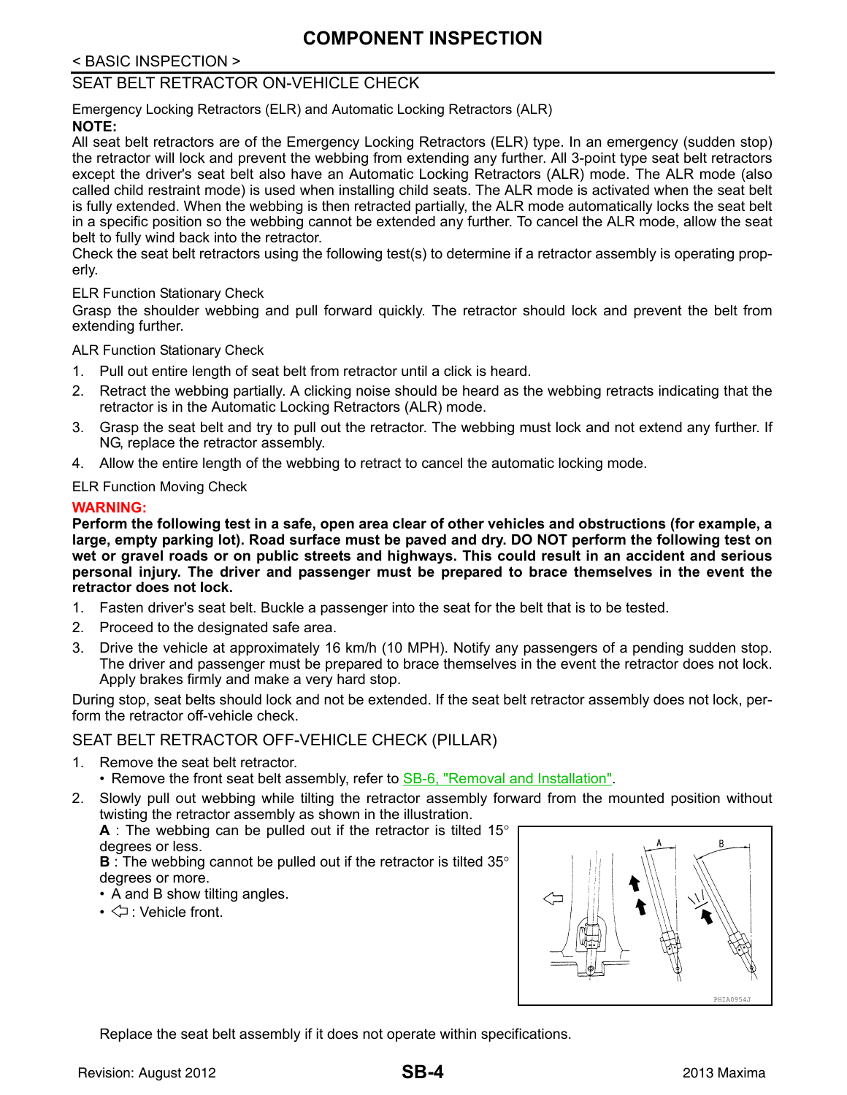**COMPONENT INSPECTION**

< BASIC INSPECTION >

## SEAT BELT RETRACTOR ON-VEHICLE CHECK

Emergency Locking Retractors (ELR) and Automatic Locking Retractors (ALR)

#### **NOTE:**

All seat belt retractors are of the Emergency Locking Retractors (ELR) type. In an emergency (sudden stop) the retractor will lock and prevent the webbing from extending any further. All 3-point type seat belt retractors except the driver's seat belt also have an Automatic Locking Retractors (ALR) mode. The ALR mode (also called child restraint mode) is used when installing child seats. The ALR mode is activated when the seat belt is fully extended. When the webbing is then retracted partially, the ALR mode automatically locks the seat belt in a specific position so the webbing cannot be extended any further. To cancel the ALR mode, allow the seat belt to fully wind back into the retractor.

Check the seat belt retractors using the following test(s) to determine if a retractor assembly is operating properly.

ELR Function Stationary Check

Grasp the shoulder webbing and pull forward quickly. The retractor should lock and prevent the belt from extending further.

ALR Function Stationary Check

- 1. Pull out entire length of seat belt from retractor until a click is heard.
- 2. Retract the webbing partially. A clicking noise should be heard as the webbing retracts indicating that the retractor is in the Automatic Locking Retractors (ALR) mode.
- 3. Grasp the seat belt and try to pull out the retractor. The webbing must lock and not extend any further. If NG, replace the retractor assembly.
- 4. Allow the entire length of the webbing to retract to cancel the automatic locking mode.

ELR Function Moving Check

#### **WARNING:**

**Perform the following test in a safe, open area clear of other vehicles and obstructions (for example, a large, empty parking lot). Road surface must be paved and dry. DO NOT perform the following test on wet or gravel roads or on public streets and highways. This could result in an accident and serious personal injury. The driver and passenger must be prepared to brace themselves in the event the retractor does not lock.**

- 1. Fasten driver's seat belt. Buckle a passenger into the seat for the belt that is to be tested.
- 2. Proceed to the designated safe area.
- 3. Drive the vehicle at approximately 16 km/h (10 MPH). Notify any passengers of a pending sudden stop. The driver and passenger must be prepared to brace themselves in the event the retractor does not lock. Apply brakes firmly and make a very hard stop.

During stop, seat belts should lock and not be extended. If the seat belt retractor assembly does not lock, perform the retractor off-vehicle check.

#### SEAT BELT RETRACTOR OFF-VEHICLE CHECK (PILLAR)

- 1. Remove the seat belt retractor.
	- Remove the front seat belt assembly, refer to **SB-6**, "Removal and Installation".
- 2. Slowly pull out webbing while tilting the retractor assembly forward from the mounted position without twisting the retractor assembly as shown in the illustration.

**A** : The webbing can be pulled out if the retractor is tilted 15° degrees or less.

**B** : The webbing cannot be pulled out if the retractor is tilted 35° degrees or more.

- A and B show tilting angles.
- $\cdot$   $\Leftrightarrow$  : Vehicle front.



Replace the seat belt assembly if it does not operate within specifications.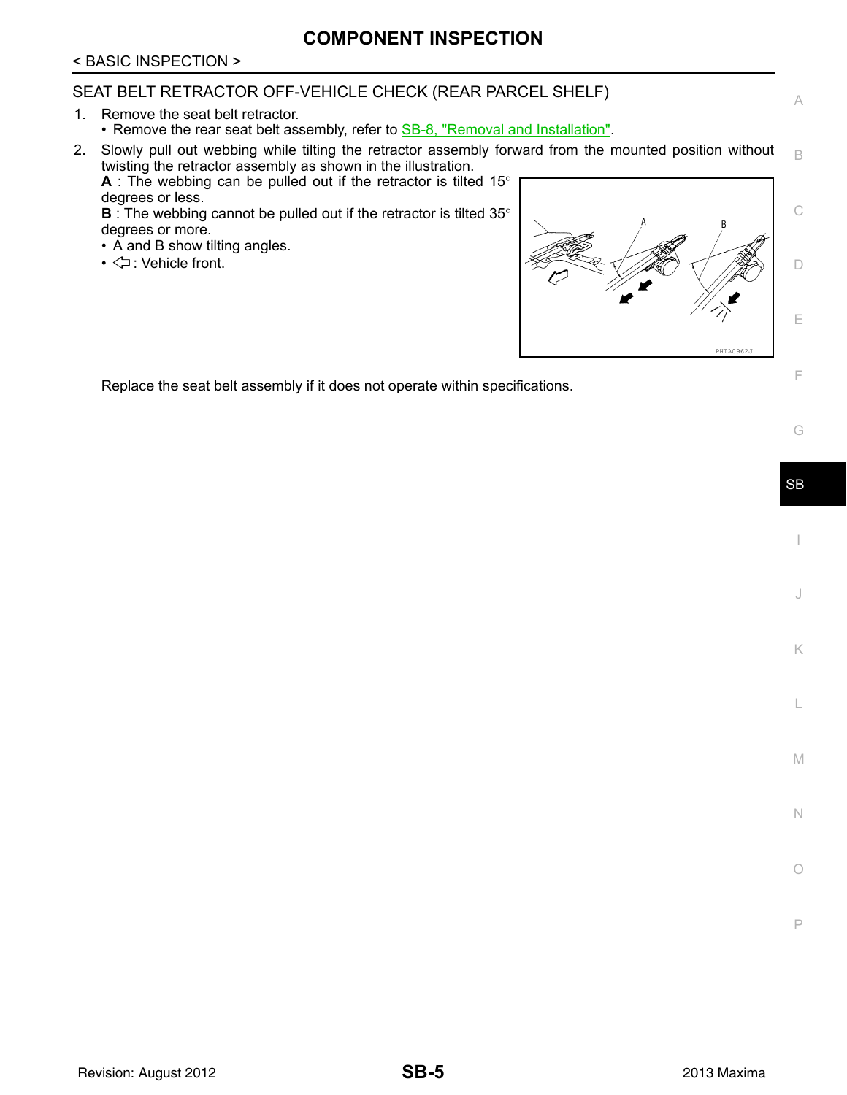## **COMPONENT INSPECTION**

#### < BASIC INSPECTION >

#### SEAT BELT RETRACTOR OFF-VEHICLE CHECK (REAR PARCEL SHELF)

- 1. Remove the seat belt retractor. • Remove the rear seat belt assembly, refer to **SB-8**, "Removal and Installation".
- B 2. Slowly pull out webbing while tilting the retractor assembly forward from the mounted position without twisting the retractor assembly as shown in the illustration.

**A** : The webbing can be pulled out if the retractor is tilted 15° degrees or less.

**B** : The webbing cannot be pulled out if the retractor is tilted 35° degrees or more.

- A and B show tilting angles.
- $\Leftrightarrow$  : Vehicle front.



Replace the seat belt assembly if it does not operate within specifications.

I

J

K

L

M

N

O

P

G

F

A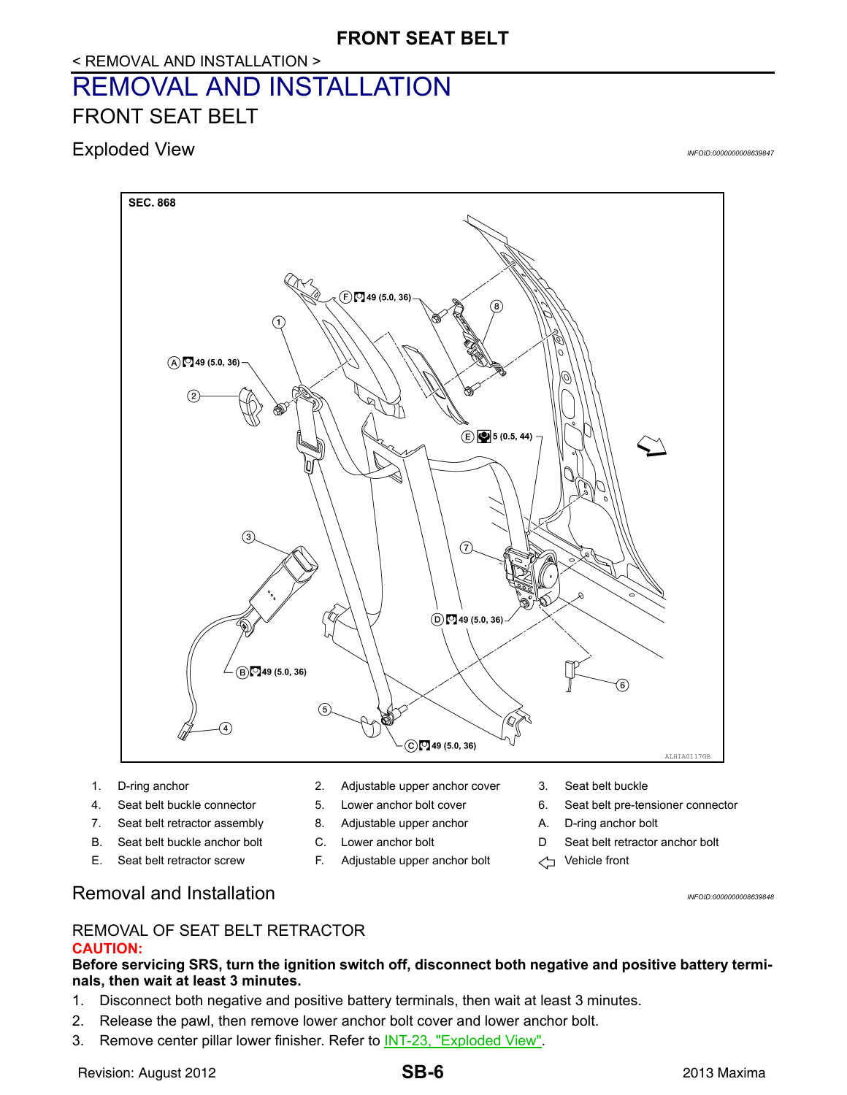## <span id="page-5-0"></span>< REMOVAL AND INSTALLATION > REMOVAL AND INSTALLATION FRONT SEAT BELT

## <span id="page-5-2"></span><span id="page-5-1"></span>Exploded View *INFOID:0000000008639847*



- 
- 
- 7. Seat belt retractor assembly 8. Adjustable upper anchor A. D-ring anchor bolt
- 
- 
- 1. D-ring anchor 2. Adjustable upper anchor cover 3. Seat belt buckle
	-
	-
	-
- E. Seat belt retractor screw F. Adjustable upper anchor bolt  $\leq$  Vehicle front
- 
- 4. Seat belt buckle connector 5. Lower anchor bolt cover 6. Seat belt pre-tensioner connector
	-
- B. Seat belt buckle anchor bolt C. Lower anchor bolt D Seat belt retractor anchor bolt
	-

<span id="page-5-3"></span>Removal and Installation *Installation Installation Installation Installation Installation Installation* 

## REMOVAL OF SEAT BELT RETRACTOR

#### **CAUTION:**

## **Before servicing SRS, turn the ignition switch off, disconnect both negative and positive battery terminals, then wait at least 3 minutes.**

- 1. Disconnect both negative and positive battery terminals, then wait at least 3 minutes.
- 2. Release the pawl, then remove lower anchor bolt cover and lower anchor bolt.
- 3. Remove center pillar lower finisher. Refer to INT-23, "Exploded View".

## **SB-6**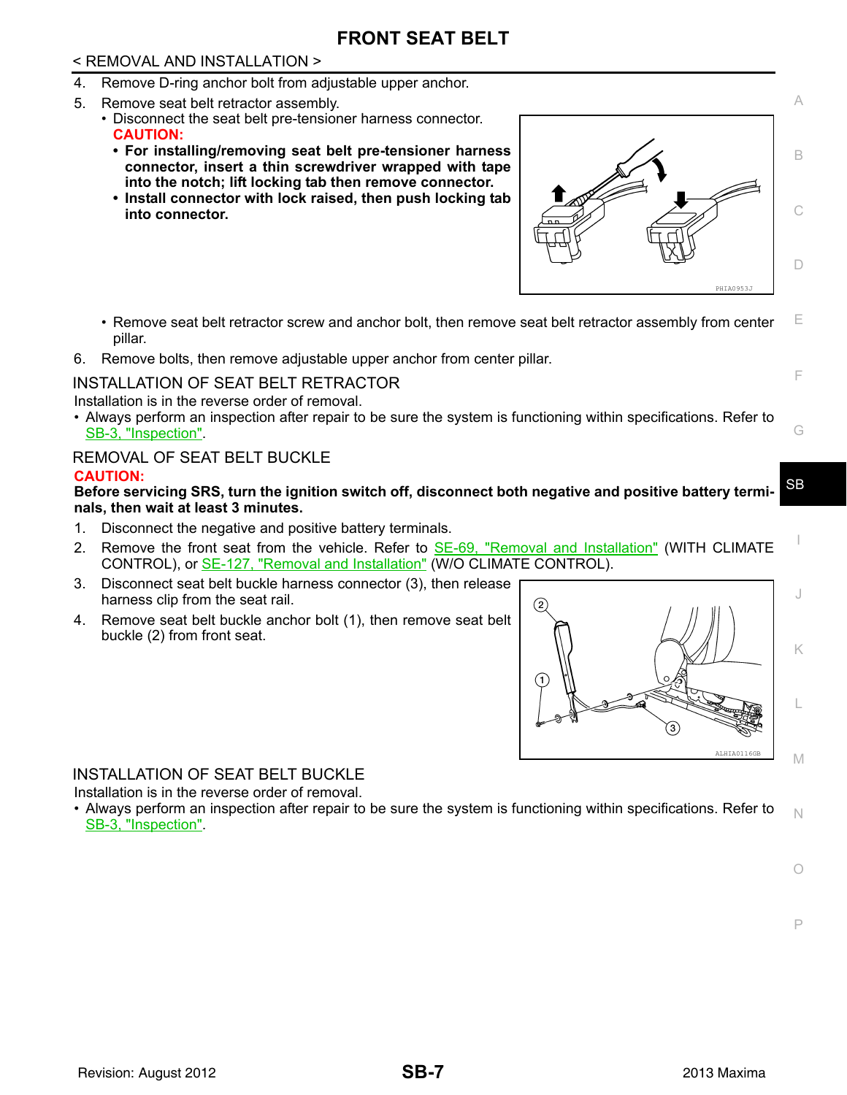## **FRONT SEAT BELT**

## < REMOVAL AND INSTALLATION >

- 4. Remove D-ring anchor bolt from adjustable upper anchor.
- 5. Remove seat belt retractor assembly.
	- Disconnect the seat belt pre-tensioner harness connector. **CAUTION:**
		- **For installing/removing seat belt pre-tensioner harness connector, insert a thin screwdriver wrapped with tape into the notch; lift locking tab then remove connector.**
		- **Install connector with lock raised, then push locking tab into connector.**



6. Remove bolts, then remove adjustable upper anchor from center pillar.

## INSTALLATION OF SEAT BELT RETRACTOR

Installation is in the reverse order of removal.

• Always perform an inspection after repair to be sure the system is functioning within specifications. Refer to [SB-3, "Inspection"](#page-2-2).

## REMOVAL OF SEAT BELT BUCKLE

#### **CAUTION:**

SB **Before servicing SRS, turn the ignition switch off, disconnect both negative and positive battery terminals, then wait at least 3 minutes.**

- 1. Disconnect the negative and positive battery terminals.
- 2. Remove the front seat from the vehicle. Refer to **SE-69, "Removal and Installation"** (WITH CLIMATE CONTROL), or SE-127, "Removal and Installation" (W/O CLIMATE CONTROL).
- 3. Disconnect seat belt buckle harness connector (3), then release harness clip from the seat rail.
- 4. Remove seat belt buckle anchor bolt (1), then remove seat belt buckle (2) from front seat.



## INSTALLATION OF SEAT BELT BUCKLE

Installation is in the reverse order of removal.

N • Always perform an inspection after repair to be sure the system is functioning within specifications. Refer to [SB-3, "Inspection"](#page-2-2).

O

C

A

B

D

PHIA0953J

E

F

G

I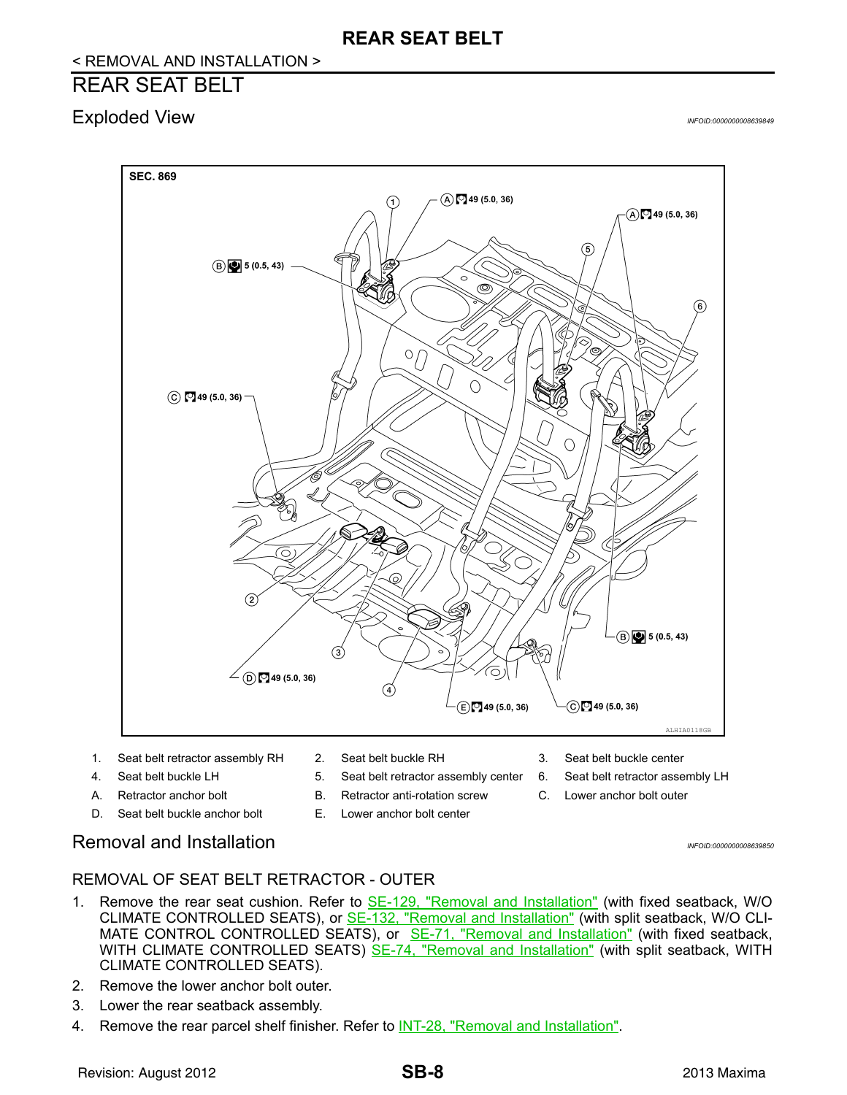## <span id="page-7-0"></span>< REMOVAL AND INSTALLATION > REAR SEAT BELT

## <span id="page-7-1"></span>Exploded View *INFOID:0000000008639849*



- 1. Seat belt retractor assembly RH 2. Seat belt buckle RH 3. Seat belt buckle center
	-
- -
- 
- 
- 
- D. Seat belt buckle anchor bolt E. Lower anchor bolt center
- 
- 4. Seat belt buckle LH 5. Seat belt retractor assembly center 6. Seat belt retractor assembly LH
- A. Retractor anchor bolt **B.** Retractor anti-rotation screw **C.** Lower anchor bolt outer

## <span id="page-7-2"></span>Removal and Installation *Installation INFOID:000000008639850*

## REMOVAL OF SEAT BELT RETRACTOR - OUTER

- 1. Remove the rear seat cushion. Refer to **SE-129, "Removal and Installation"** (with fixed seatback, W/O CLIMATE CONTROLLED SEATS), or SE-132, "Removal and Installation" (with split seatback, W/O CLI-MATE CONTROL CONTROLLED SEATS), or SE-71, "Removal and Installation" (with fixed seatback, WITH CLIMATE CONTROLLED SEATS) SE-74, "Removal and Installation" (with split seatback, WITH CLIMATE CONTROLLED SEATS).
- 2. Remove the lower anchor bolt outer.
- 3. Lower the rear seatback assembly.
- 4. Remove the rear parcel shelf finisher. Refer to **INT-28, "Removal and Installation"**.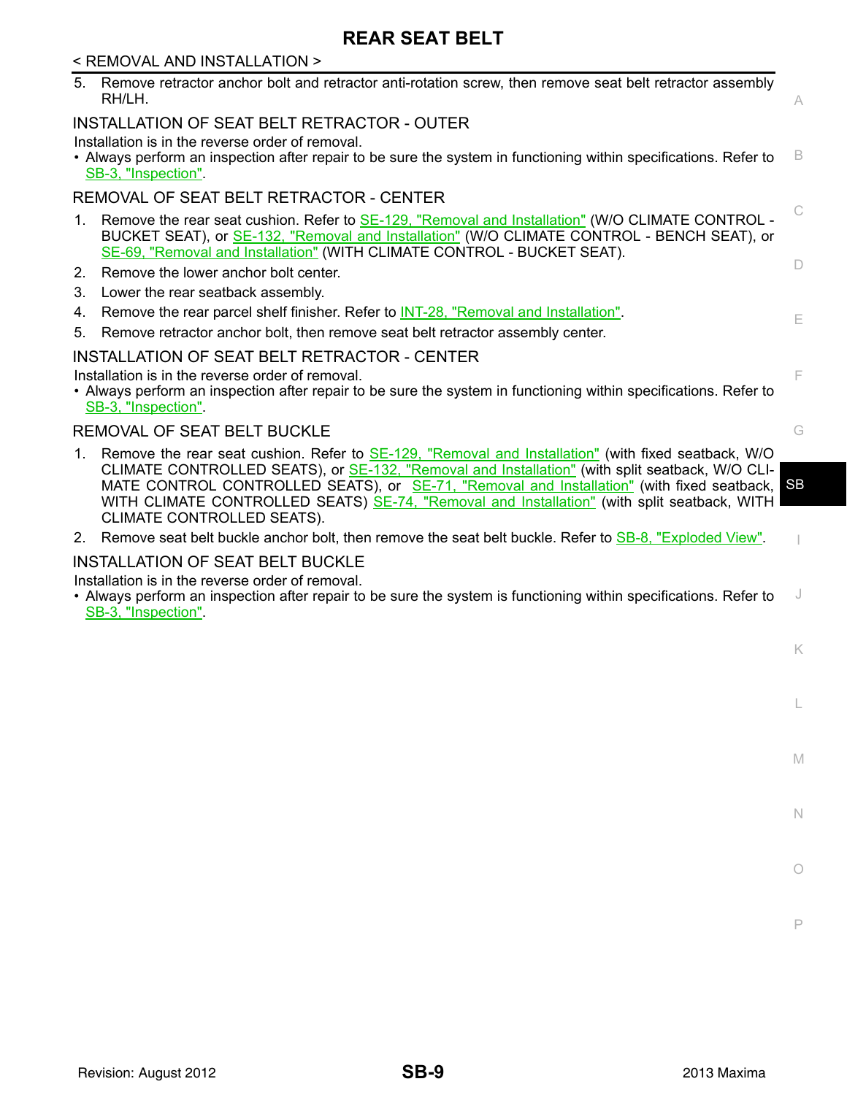## **REAR SEAT BELT**

|  | < REMOVAL AND INSTALLATION > |
|--|------------------------------|
|--|------------------------------|

5. Remove retractor anchor bolt and retractor anti-rotation screw, then remove seat belt retractor assembly RH/LH.

## INSTALLATION OF SEAT BELT RETRACTOR - OUTER

Installation is in the reverse order of removal.

B • Always perform an inspection after repair to be sure the system in functioning within specifications. Refer to [SB-3, "Inspection"](#page-2-2).

## REMOVAL OF SEAT BELT RETRACTOR - CENTER

- C  $\Box$ 1. Remove the rear seat cushion. Refer to **SE-129, "Removal and Installation"** (W/O CLIMATE CONTROL -BUCKET SEAT), or SE-132, "Removal and Installation" (W/O CLIMATE CONTROL - BENCH SEAT), or SE-69, "Removal and Installation" (WITH CLIMATE CONTROL - BUCKET SEAT).
- 2. Remove the lower anchor bolt center.
- 3. Lower the rear seatback assembly.
- 4. Remove the rear parcel shelf finisher. Refer to INT-28, "Removal and Installation".
- 5. Remove retractor anchor bolt, then remove seat belt retractor assembly center.

## INSTALLATION OF SEAT BELT RETRACTOR - CENTER

Installation is in the reverse order of removal.

• Always perform an inspection after repair to be sure the system in functioning within specifications. Refer to [SB-3, "Inspection"](#page-2-2).

## REMOVAL OF SEAT BELT BUCKLE

- SB 1. Remove the rear seat cushion. Refer to **SE-129, "Removal and Installation"** (with fixed seatback, W/O CLIMATE CONTROLLED SEATS), or SE-132, "Removal and Installation" (with split seatback, W/O CLI-MATE CONTROL CONTROLLED SEATS), or SE-71, "Removal and Installation" (with fixed seatback, WITH CLIMATE CONTROLLED SEATS) SE-74, "Removal and Installation" (with split seatback, WITH CLIMATE CONTROLLED SEATS).
- 2. Remove seat belt buckle anchor bolt, then remove the seat belt buckle. Refer to [SB-8, "Exploded View"](#page-7-1).

#### INSTALLATION OF SEAT BELT BUCKLE

Installation is in the reverse order of removal.

- J • Always perform an inspection after repair to be sure the system is functioning within specifications. Refer to [SB-3, "Inspection"](#page-2-2).
	- K

L

M

N

O

P

I

E

A

F

G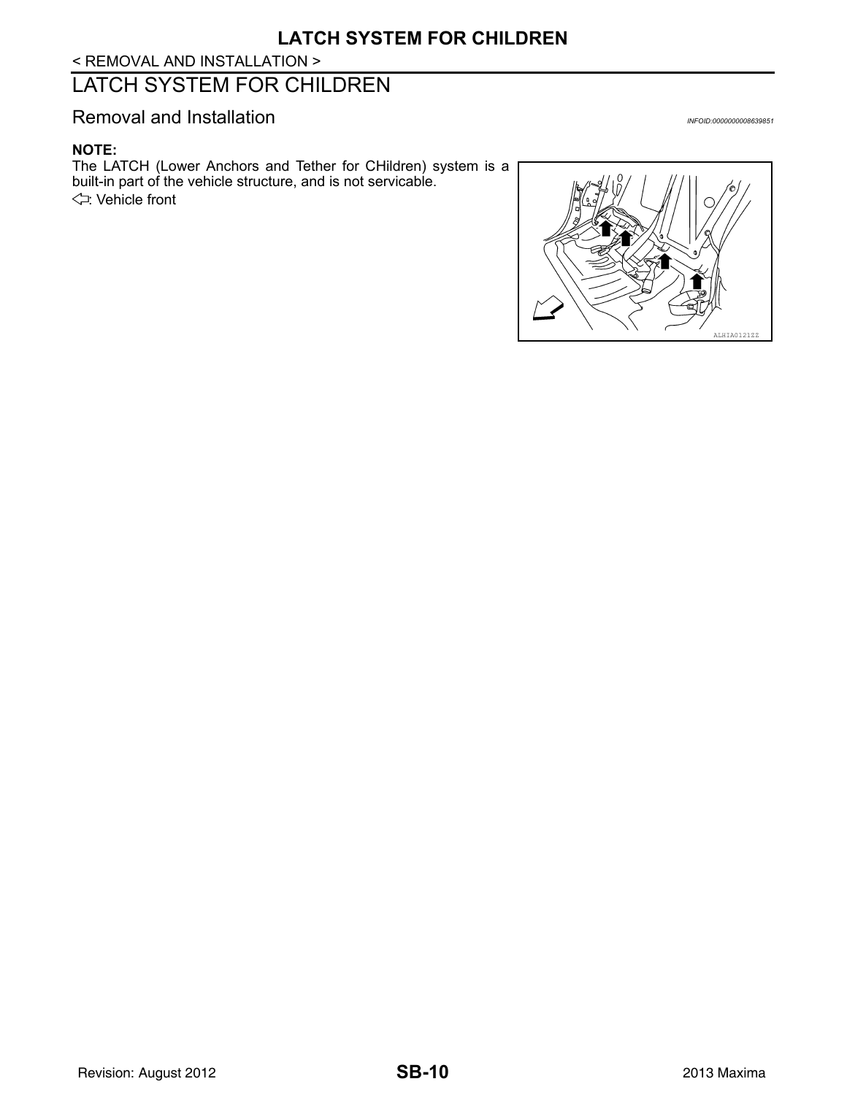## < REMOVAL AND INSTALLATION >

# <span id="page-9-0"></span>LATCH SYSTEM FOR CHILDREN

<span id="page-9-1"></span>Removal and Installation *Installation INFOID:000000008639851* 

## **NOTE:**

The LATCH (Lower Anchors and Tether for CHildren) system is a built-in part of the vehicle structure, and is not servicable. : Vehicle front